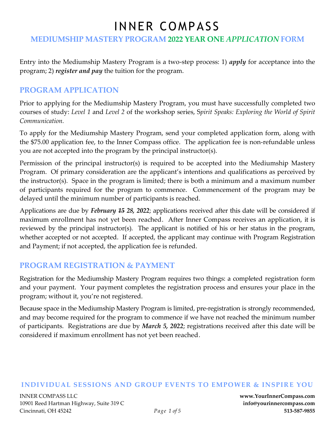## **MEDIUMSHIP MASTERY PROGRAM 2022 YEAR ONE** *APPLICATION* **FORM**

Entry into the Mediumship Mastery Program is a two-step process: 1) *apply* for acceptance into the program; 2) *register and pay* the tuition for the program.

### **PROGRAM APPLICATION**

Prior to applying for the Mediumship Mastery Program, you must have successfully completed two courses of study: *Level 1* and *Level 2* of the workshop series, S*pirit Speaks: Exploring the World of Spirit Communication.* 

To apply for the Mediumship Mastery Program, send your completed application form, along with the \$75.00 application fee, to the Inner Compass office. The application fee is non-refundable unless you are not accepted into the program by the principal instructor(s).

Permission of the principal instructor(s) is required to be accepted into the Mediumship Mastery Program. Of primary consideration are the applicant's intentions and qualifications as perceived by the instructor(s). Space in the program is limited; there is both a minimum and a maximum number of participants required for the program to commence. Commencement of the program may be delayed until the minimum number of participants is reached.

Applications are due by *February 15 28, 2022*; applications received after this date will be considered if maximum enrollment has not yet been reached. After Inner Compass receives an application, it is reviewed by the principal instructor(s). The applicant is notified of his or her status in the program, whether accepted or not accepted. If accepted, the applicant may continue with Program Registration and Payment; if not accepted, the application fee is refunded.

## **PROGRAM REGISTRATION & PAYMENT**

Registration for the Mediumship Mastery Program requires two things: a completed registration form and your payment. Your payment completes the registration process and ensures your place in the program; without it, you're not registered.

Because space in the Mediumship Mastery Program is limited, pre-registration is strongly recommended, and may become required for the program to commence if we have not reached the minimum number of participants. Registrations are due by *March 5, 2022*; registrations received after this date will be considered if maximum enrollment has not yet been reached.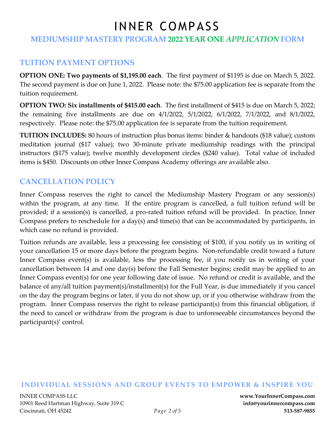## **MEDIUMSHIP MASTERY PROGRAM 2022 YEAR ONE** *APPLICATION* **FORM**

## **TUITION PAYMENT OPTIONS**

**OPTION ONE: Two payments of \$1,195.00 each**. The first payment of \$1195 is due on March 5, 2022. The second payment is due on June 1, 2022. Please note: the \$75.00 application fee is separate from the tuition requirement.

**OPTION TWO: Six installments of \$415.00 each**. The first installment of \$415 is due on March 5, 2022; the remaining five installments are due on 4/1/2022, 5/1/2022, 6/1/2022, 7/1/2022, and 8/1/2022, respectively. Please note: the \$75.00 application fee is separate from the tuition requirement.

**TUITION INCLUDES:** 80 hours of instruction plus bonus items: binder & handouts (\$18 value); custom meditation journal (\$17 value); two 30-minute private mediumship readings with the principal instructors (\$175 value); twelve monthly development circles (\$240 value). Total value of included items is \$450. Discounts on other Inner Compass Academy offerings are available also.

## **CANCELLATION POLICY**

Inner Compass reserves the right to cancel the Mediumship Mastery Program or any session(s) within the program, at any time. If the entire program is cancelled, a full tuition refund will be provided; if a session(s) is cancelled, a pro-rated tuition refund will be provided. In practice, Inner Compass prefers to reschedule for a day(s) and time(s) that can be accommodated by participants, in which case no refund is provided.

Tuition refunds are available, less a processing fee consisting of \$100, if you notify us in writing of your cancellation 15 or more days before the program begins. Non-refundable credit toward a future Inner Compass event(s) is available, less the processing fee, if you notify us in writing of your cancellation between 14 and one day(s) before the Fall Semester begins; credit may be applied to an Inner Compass event(s) for one year following date of issue. No refund or credit is available, and the balance of any/all tuition payment(s)/installment(s) for the Full Year, is due immediately if you cancel on the day the program begins or later, if you do not show up, or if you otherwise withdraw from the program. Inner Compass reserves the right to release participant(s) from this financial obligation, if the need to cancel or withdraw from the program is due to unforeseeable circumstances beyond the participant(s)' control.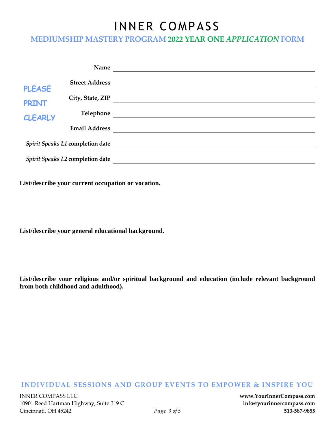### **MEDIUMSHIP MASTERY PROGRAM 2022 YEAR ONE** *APPLICATION* **FORM**

|                                                 | Name                  |  |
|-------------------------------------------------|-----------------------|--|
| <b>PLEASE</b><br><b>PRINT</b><br><b>CLEARLY</b> | <b>Street Address</b> |  |
|                                                 | City, State, ZIP      |  |
|                                                 | Telephone             |  |
|                                                 | <b>Email Address</b>  |  |
| Spirit Speaks L1 completion date                |                       |  |
| Spirit Speaks L2 completion date                |                       |  |

**List/describe your current occupation or vocation.** 

**List/describe your general educational background.** 

**List/describe your religious and/or spiritual background and education (include relevant background from both childhood and adulthood).**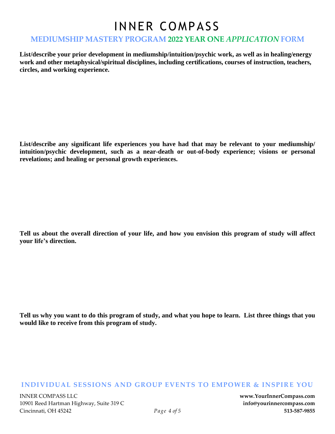### **MEDIUMSHIP MASTERY PROGRAM 2022 YEAR ONE** *APPLICATION* **FORM**

**List/describe your prior development in mediumship/intuition/psychic work, as well as in healing/energy work and other metaphysical/spiritual disciplines, including certifications, courses of instruction, teachers, circles, and working experience.** 

**List/describe any significant life experiences you have had that may be relevant to your mediumship/ intuition/psychic development, such as a near-death or out-of-body experience; visions or personal revelations; and healing or personal growth experiences.** 

Tell us about the overall direction of your life, and how you envision this program of study will affect **your life's direction.** 

Tell us why you want to do this program of study, and what you hope to learn. List three things that you **would like to receive from this program of study.**